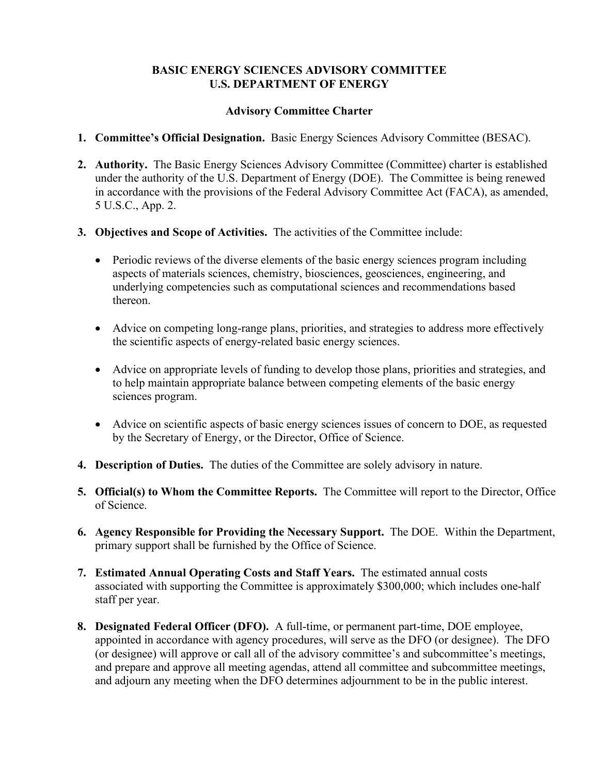## **BASIC ENERGY SCIENCES ADVISORY COMMITTEE U.S. DEPARTMENT OF ENERGY**

## **Advisory Committee Charter**

- **1. Committee's Official Designation.** Basic Energy Sciences Advisory Committee (BESAC).
- **2. Authority.** The Basic Energy Sciences Advisory Committee (Committee) charter is established under the authority of the U.S. Department of Energy (DOE). The Committee is being renewed in accordance with the provisions of the Federal Advisory Committee Act (FACA), as amended, 5 U.S.C., App. 2.
- **3. Objectives and Scope of Activities.** The activities of the Committee include:
	- Periodic reviews of the diverse elements of the basic energy sciences program including aspects of materials sciences, chemistry, biosciences, geosciences, engineering, and underlying competencies such as computational sciences and recommendations based thereon.
	- Advice on competing long-range plans, priorities, and strategies to address more effectively the scientific aspects of energy-related basic energy sciences.
	- Advice on appropriate levels of funding to develop those plans, priorities and strategies, and to help maintain appropriate balance between competing elements of the basic energy sciences program.
	- Advice on scientific aspects of basic energy sciences issues of concern to DOE, as requested by the Secretary of Energy, or the Director, Office of Science.
- **4. Description of Duties.** The duties of the Committee are solely advisory in nature.
- **5. Official(s) to Whom the Committee Reports.** The Committee will report to the Director, Office of Science.
- **6. Agency Responsible for Providing the Necessary Support.** The DOE. Within the Department, primary support shall be furnished by the Office of Science.
- **7. Estimated Annual Operating Costs and Staff Years.** The estimated annual costs associated with supporting the Committee is approximately \$300,000; which includes one-half staff per year.
- **8. Designated Federal Officer (DFO).** A full-time, or permanent part-time, DOE employee, appointed in accordance with agency procedures, will serve as the DFO (or designee). The DFO (or designee) will approve or call all of the advisory committee's and subcommittee's meetings, and prepare and approve all meeting agendas, attend all committee and subcommittee meetings, and adjourn any meeting when the DFO determines adjournment to be in the public interest.